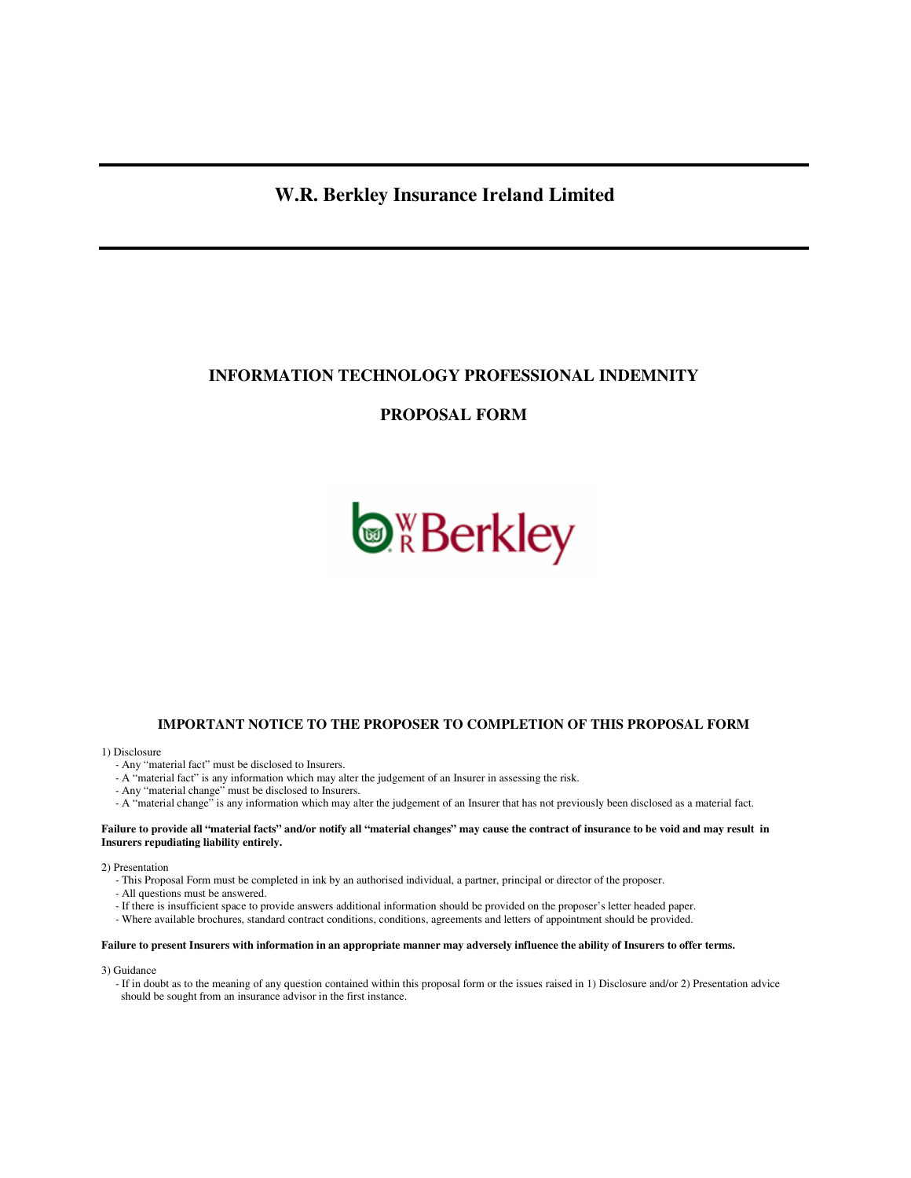# **W.R. Berkley Insurance Ireland Limited**

## **INFORMATION TECHNOLOGY PROFESSIONAL INDEMNITY**

## **PROPOSAL FORM**



## **IMPORTANT NOTICE TO THE PROPOSER TO COMPLETION OF THIS PROPOSAL FORM**

#### 1) Disclosure

- Any "material fact" must be disclosed to Insurers.
- A "material fact" is any information which may alter the judgement of an Insurer in assessing the risk.
- Any "material change" must be disclosed to Insurers.
- A "material change" is any information which may alter the judgement of an Insurer that has not previously been disclosed as a material fact.

#### **Failure to provide all "material facts" and/or notify all "material changes" may cause the contract of insurance to be void and may result in Insurers repudiating liability entirely.**

2) Presentation

- This Proposal Form must be completed in ink by an authorised individual, a partner, principal or director of the proposer.
- All questions must be answered.
- If there is insufficient space to provide answers additional information should be provided on the proposer's letter headed paper.
- Where available brochures, standard contract conditions, conditions, agreements and letters of appointment should be provided.

#### **Failure to present Insurers with information in an appropriate manner may adversely influence the ability of Insurers to offer terms.**

#### 3) Guidance

 - If in doubt as to the meaning of any question contained within this proposal form or the issues raised in 1) Disclosure and/or 2) Presentation advice should be sought from an insurance advisor in the first instance.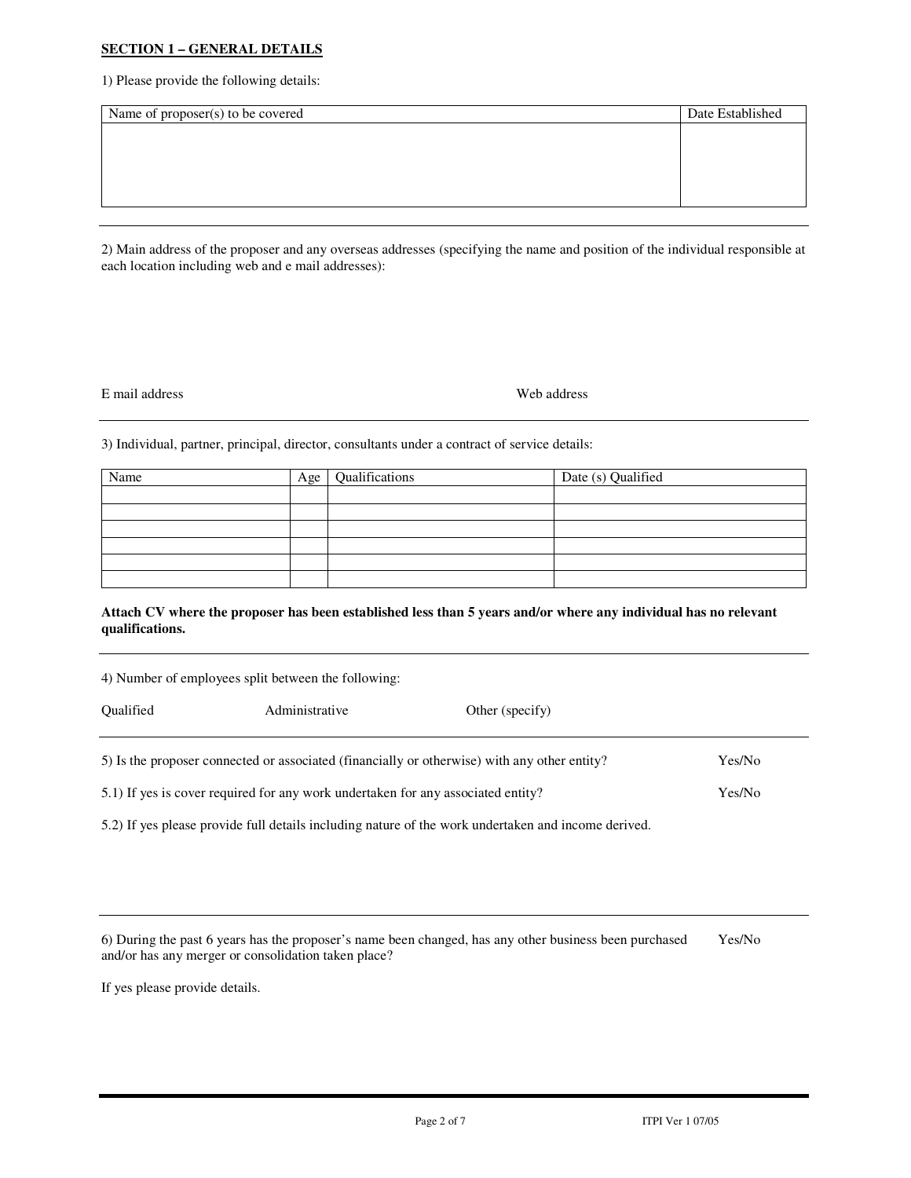## **SECTION 1 – GENERAL DETAILS**

1) Please provide the following details:

| Name of proposer(s) to be covered | Date Established |
|-----------------------------------|------------------|
|                                   |                  |
|                                   |                  |
|                                   |                  |
|                                   |                  |
|                                   |                  |

2) Main address of the proposer and any overseas addresses (specifying the name and position of the individual responsible at each location including web and e mail addresses):

#### E mail address Web address

3) Individual, partner, principal, director, consultants under a contract of service details:

| Name | Age | Qualifications | Date (s) Qualified |
|------|-----|----------------|--------------------|
|      |     |                |                    |
|      |     |                |                    |
|      |     |                |                    |
|      |     |                |                    |
|      |     |                |                    |
|      |     |                |                    |

#### **Attach CV where the proposer has been established less than 5 years and/or where any individual has no relevant qualifications.**

4) Number of employees split between the following: Qualified Administrative Other (specify) 5) Is the proposer connected or associated (financially or otherwise) with any other entity? Yes/No

5.1) If yes is cover required for any work undertaken for any associated entity? Yes/No

5.2) If yes please provide full details including nature of the work undertaken and income derived.

6) During the past 6 years has the proposer's name been changed, has any other business been purchased Yes/No and/or has any merger or consolidation taken place?

If yes please provide details.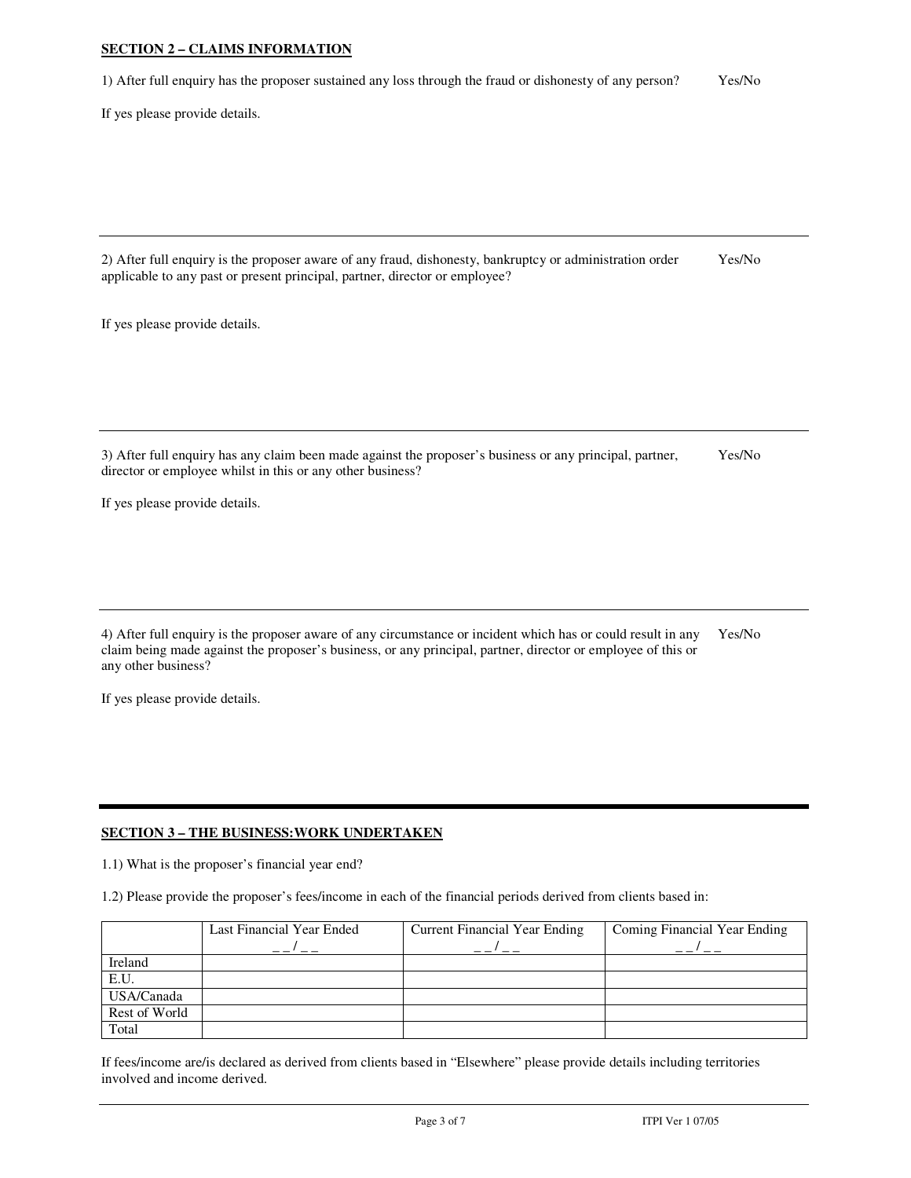## **SECTION 2 – CLAIMS INFORMATION**

1) After full enquiry has the proposer sustained any loss through the fraud or dishonesty of any person? Yes/No

If yes please provide details.

2) After full enquiry is the proposer aware of any fraud, dishonesty, bankruptcy or administration order Yes/No applicable to any past or present principal, partner, director or employee?

If yes please provide details.

3) After full enquiry has any claim been made against the proposer's business or any principal, partner, Yes/No director or employee whilst in this or any other business?

If yes please provide details.

4) After full enquiry is the proposer aware of any circumstance or incident which has or could result in any Yes/No claim being made against the proposer's business, or any principal, partner, director or employee of this or any other business?

If yes please provide details.

## **SECTION 3 – THE BUSINESS:WORK UNDERTAKEN**

1.1) What is the proposer's financial year end?

1.2) Please provide the proposer's fees/income in each of the financial periods derived from clients based in:

|               | Last Financial Year Ended | <b>Current Financial Year Ending</b> | Coming Financial Year Ending |
|---------------|---------------------------|--------------------------------------|------------------------------|
|               |                           |                                      |                              |
| Ireland       |                           |                                      |                              |
| E.U.          |                           |                                      |                              |
| USA/Canada    |                           |                                      |                              |
| Rest of World |                           |                                      |                              |
| Total         |                           |                                      |                              |

If fees/income are/is declared as derived from clients based in "Elsewhere" please provide details including territories involved and income derived.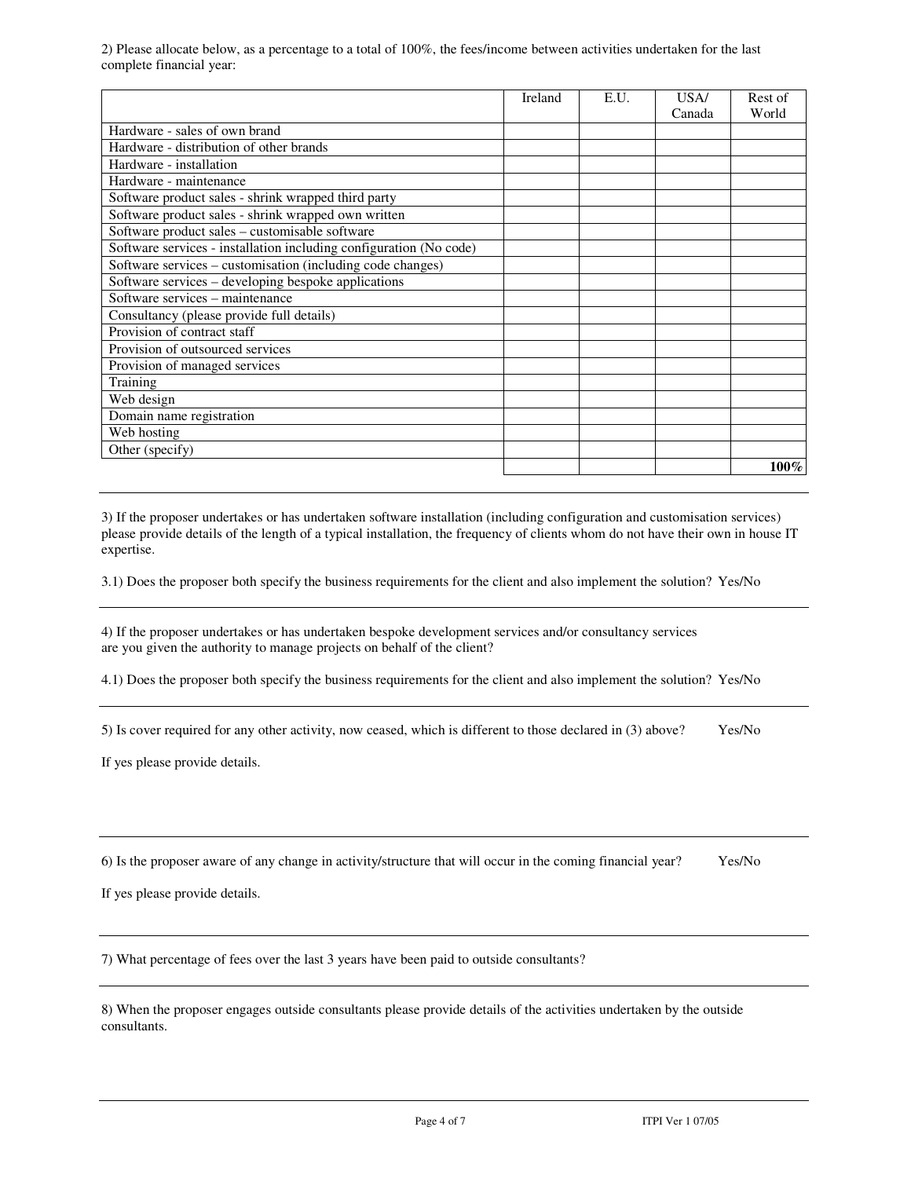2) Please allocate below, as a percentage to a total of 100%, the fees/income between activities undertaken for the last complete financial year:

|                                                                    | Ireland | E.U. | USA/   | Rest of |
|--------------------------------------------------------------------|---------|------|--------|---------|
|                                                                    |         |      | Canada | World   |
| Hardware - sales of own brand                                      |         |      |        |         |
| Hardware - distribution of other brands                            |         |      |        |         |
| Hardware - installation                                            |         |      |        |         |
| Hardware - maintenance                                             |         |      |        |         |
| Software product sales - shrink wrapped third party                |         |      |        |         |
| Software product sales - shrink wrapped own written                |         |      |        |         |
| Software product sales - customisable software                     |         |      |        |         |
| Software services - installation including configuration (No code) |         |      |        |         |
| Software services - customisation (including code changes)         |         |      |        |         |
| Software services – developing bespoke applications                |         |      |        |         |
| Software services – maintenance                                    |         |      |        |         |
| Consultancy (please provide full details)                          |         |      |        |         |
| Provision of contract staff                                        |         |      |        |         |
| Provision of outsourced services                                   |         |      |        |         |
| Provision of managed services                                      |         |      |        |         |
| Training                                                           |         |      |        |         |
| Web design                                                         |         |      |        |         |
| Domain name registration                                           |         |      |        |         |
| Web hosting                                                        |         |      |        |         |
| Other (specify)                                                    |         |      |        |         |
|                                                                    |         |      |        | $100\%$ |

3) If the proposer undertakes or has undertaken software installation (including configuration and customisation services) please provide details of the length of a typical installation, the frequency of clients whom do not have their own in house IT expertise.

3.1) Does the proposer both specify the business requirements for the client and also implement the solution? Yes/No

4) If the proposer undertakes or has undertaken bespoke development services and/or consultancy services are you given the authority to manage projects on behalf of the client?

4.1) Does the proposer both specify the business requirements for the client and also implement the solution? Yes/No

5) Is cover required for any other activity, now ceased, which is different to those declared in (3) above? Yes/No

If yes please provide details.

6) Is the proposer aware of any change in activity/structure that will occur in the coming financial year? Yes/No

If yes please provide details.

7) What percentage of fees over the last 3 years have been paid to outside consultants?

8) When the proposer engages outside consultants please provide details of the activities undertaken by the outside consultants.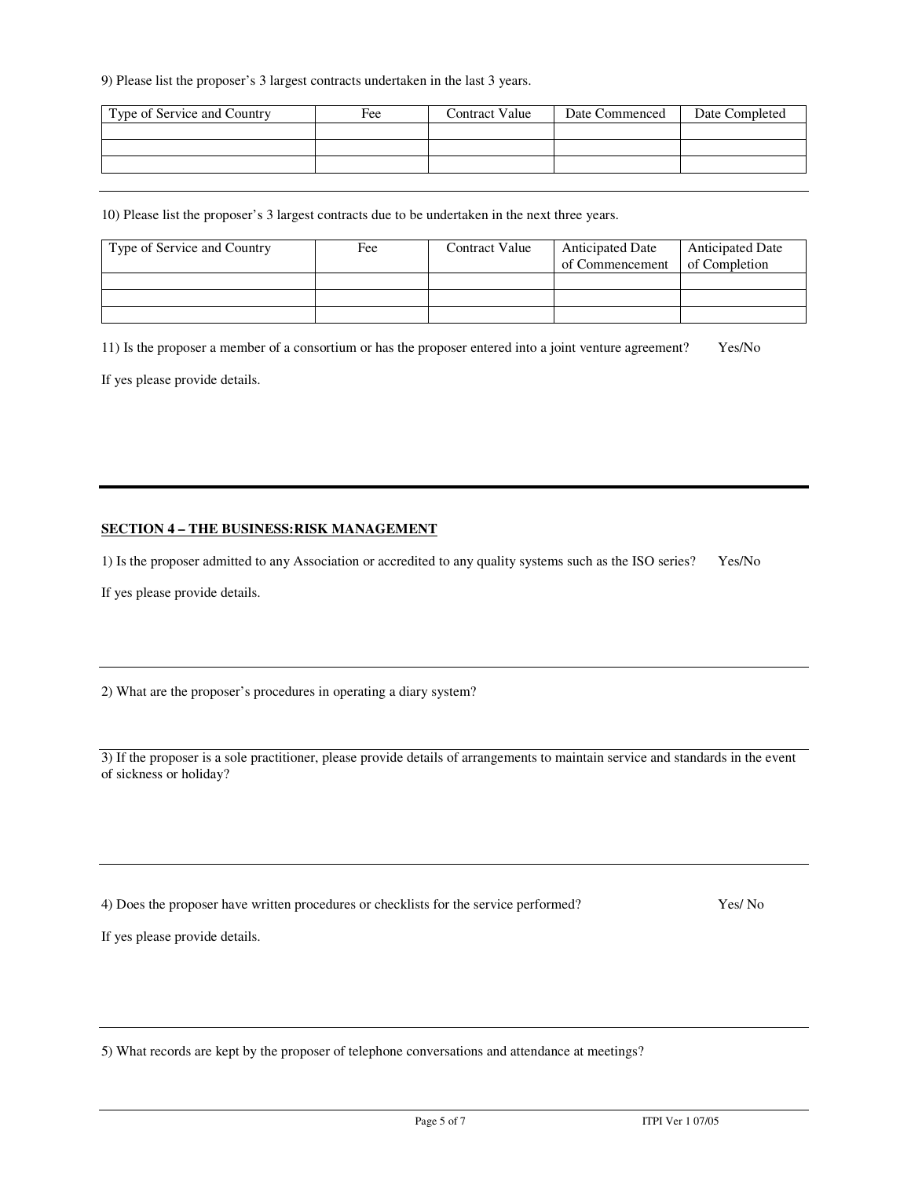9) Please list the proposer's 3 largest contracts undertaken in the last 3 years.

| Type of Service and Country | Fee | Contract Value | Date Commenced | Date Completed |
|-----------------------------|-----|----------------|----------------|----------------|
|                             |     |                |                |                |
|                             |     |                |                |                |
|                             |     |                |                |                |

10) Please list the proposer's 3 largest contracts due to be undertaken in the next three years.

| Type of Service and Country | Fee | Contract Value | <b>Anticipated Date</b><br>of Commencement | <b>Anticipated Date</b><br>of Completion |
|-----------------------------|-----|----------------|--------------------------------------------|------------------------------------------|
|                             |     |                |                                            |                                          |
|                             |     |                |                                            |                                          |
|                             |     |                |                                            |                                          |

11) Is the proposer a member of a consortium or has the proposer entered into a joint venture agreement? Yes/No

If yes please provide details.

#### **SECTION 4 – THE BUSINESS:RISK MANAGEMENT**

1) Is the proposer admitted to any Association or accredited to any quality systems such as the ISO series? Yes/No

If yes please provide details.

2) What are the proposer's procedures in operating a diary system?

3) If the proposer is a sole practitioner, please provide details of arrangements to maintain service and standards in the event of sickness or holiday?

4) Does the proposer have written procedures or checklists for the service performed? Yes/ No

If yes please provide details.

5) What records are kept by the proposer of telephone conversations and attendance at meetings?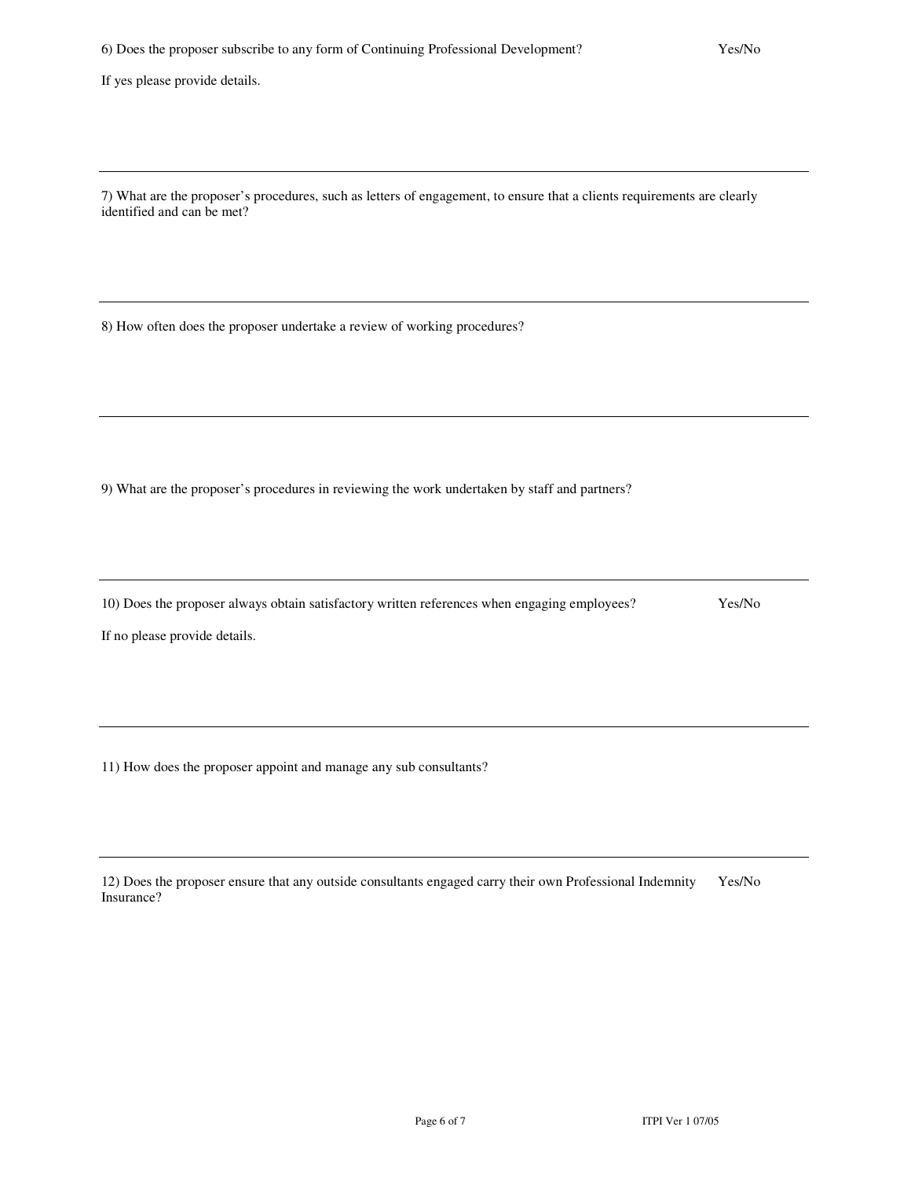If yes please provide details.

7) What are the proposer's procedures, such as letters of engagement, to ensure that a clients requirements are clearly identified and can be met?

8) How often does the proposer undertake a review of working procedures?

9) What are the proposer's procedures in reviewing the work undertaken by staff and partners?

10) Does the proposer always obtain satisfactory written references when engaging employees? Yes/No

If no please provide details.

11) How does the proposer appoint and manage any sub consultants?

| 12) Does the proposer ensure that any outside consultants engaged carry their own Professional Indemnity Yes/No |  |
|-----------------------------------------------------------------------------------------------------------------|--|
| Insurance?                                                                                                      |  |